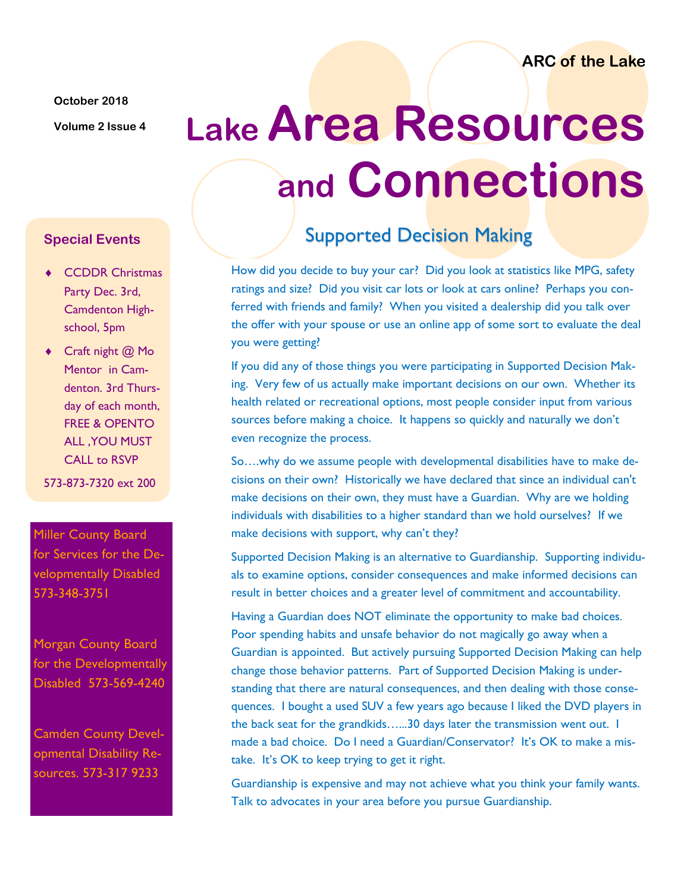**ARC of the Lake**

**October 2018**

# **Volume 2 Issue 4 Lake Area Resources and Connections**

#### **Special Events**

- ◆ CCDDR Christmas Party Dec. 3rd, Camdenton Highschool, 5pm
- ◆ Craft night @ Mo Mentor in Camdenton. 3rd Thursday of each month, FREE & OPENTO ALL ,YOU MUST CALL to RSVP

573-873-7320 ext 200

Miller County Board for Services for the Developmentally Disabled 573-348-3751

Morgan County Board for the Developmentally Disabled 573-569-4240

Camden County Developmental Disability Resources. 573-317 9233

## Supported Decision Making

How did you decide to buy your car? Did you look at statistics like MPG, safety ratings and size? Did you visit car lots or look at cars online? Perhaps you conferred with friends and family? When you visited a dealership did you talk over the offer with your spouse or use an online app of some sort to evaluate the deal you were getting?

If you did any of those things you were participating in Supported Decision Making. Very few of us actually make important decisions on our own. Whether its health related or recreational options, most people consider input from various sources before making a choice. It happens so quickly and naturally we don't even recognize the process.

So….why do we assume people with developmental disabilities have to make decisions on their own? Historically we have declared that since an individual can't make decisions on their own, they must have a Guardian. Why are we holding individuals with disabilities to a higher standard than we hold ourselves? If we make decisions with support, why can't they?

Supported Decision Making is an alternative to Guardianship. Supporting individuals to examine options, consider consequences and make informed decisions can result in better choices and a greater level of commitment and accountability.

Having a Guardian does NOT eliminate the opportunity to make bad choices. Poor spending habits and unsafe behavior do not magically go away when a Guardian is appointed. But actively pursuing Supported Decision Making can help change those behavior patterns. Part of Supported Decision Making is understanding that there are natural consequences, and then dealing with those consequences. I bought a used SUV a few years ago because I liked the DVD players in the back seat for the grandkids…...30 days later the transmission went out. I made a bad choice. Do I need a Guardian/Conservator? It's OK to make a mistake. It's OK to keep trying to get it right.

Guardianship is expensive and may not achieve what you think your family wants. Talk to advocates in your area before you pursue Guardianship.